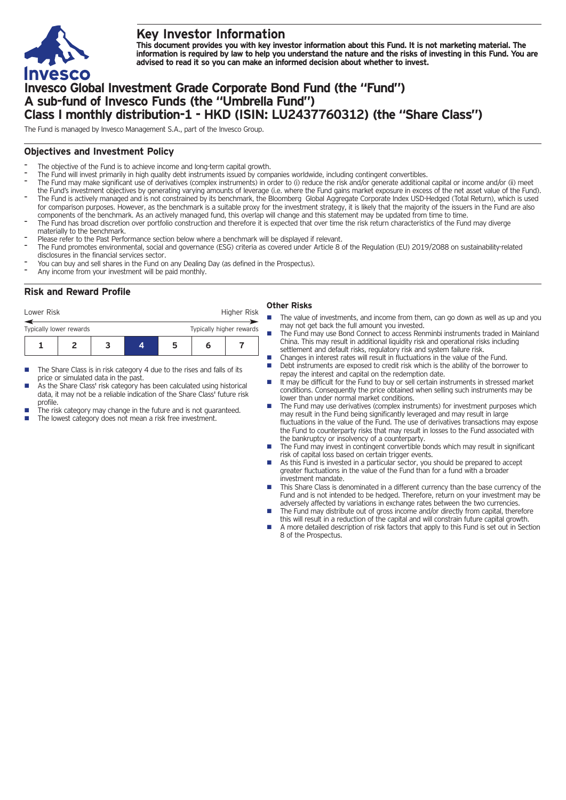

# **Key Investor Information**

This document provides you with key investor information about this Fund. It is not marketing material. The information is required by law to help you understand the nature and the risks of investing in this Fund. You are **advised to read it so you can make an informed decision about whether to invest.**

## **Invesco Global Investment Grade Corporate Bond Fund (the "Fund") A sub-fund of Invesco Funds (the "Umbrella Fund") Class I monthly distribution-1 - HKD (ISIN: LU2437760312) (the "Share Class")**

The Fund is managed by Invesco Management S.A., part of the Invesco Group.

## **Objectives and Investment Policy**

- The objective of the Fund is to achieve income and long-term capital growth.
- The Fund will invest primarily in high quality debt instruments issued by companies worldwide, including contingent convertibles.
- The Fund may make significant use of derivatives (complex instruments) in order to (i) reduce the risk and/or generate additional capital or income and/or (ii) meet the Fund's investment objectives by generating varying amounts of leverage (i.e. where the Fund gains market exposure in excess of the net asset value of the Fund). The Fund is actively managed and is not constrained by its benchmark, the Bloomberg Global Aggregate Corporate Index USD-Hedged (Total Return), which is used for comparison purposes. However, as the benchmark is a suitable proxy for the investment strategy, it is likely that the majority of the issuers in the Fund are also
- components of the benchmark. As an actively managed fund, this overlap will change and this statement may be updated from time to time.
- The Fund has broad discretion over portfolio construction and therefore it is expected that over time the risk return characteristics of the Fund may diverge materially to the benchmark.
- Please refer to the Past Performance section below where a benchmark will be displayed if relevant.
- The Fund promotes environmental, social and governance (ESG) criteria as covered under Article 8 of the Regulation (EU) 2019/2088 on sustainability-related disclosures in the financial services sector.
- You can buy and sell shares in the Fund on any Dealing Day (as defined in the Prospectus).
- Any income from your investment will be paid monthly.

### **Risk and Reward Profile**

| Lower Risk              |  |  |   | Higher Risk              |
|-------------------------|--|--|---|--------------------------|
| Typically lower rewards |  |  |   | Typically higher rewards |
|                         |  |  | n |                          |

- The Share Class is in risk category 4 due to the rises and falls of its price or simulated data in the past.
- As the Share Class' risk category has been calculated using historical data, it may not be a reliable indication of the Share Class' future risk profile.
- The risk category may change in the future and is not guaranteed.
- The lowest category does not mean a risk free investment.

#### **Other Risks**

- The value of investments, and income from them, can go down as well as up and you may not get back the full amount you invested.
- The Fund may use Bond Connect to access Renminbi instruments traded in Mainland China. This may result in additional liquidity risk and operational risks including settlement and default risks, regulatory risk and system failure risk.
- n Changes in interest rates will result in fluctuations in the value of the Fund.
- n Debt instruments are exposed to credit risk which is the ability of the borrower to repay the interest and capital on the redemption date.
- n It may be difficult for the Fund to buy or sell certain instruments in stressed market conditions. Consequently the price obtained when selling such instruments may be lower than under normal market conditions.
- n The Fund may use derivatives (complex instruments) for investment purposes which may result in the Fund being significantly leveraged and may result in large fluctuations in the value of the Fund. The use of derivatives transactions may expose the Fund to counterparty risks that may result in losses to the Fund associated with the bankruptcy or insolvency of a counterparty.
- The Fund may invest in contingent convertible bonds which may result in significant risk of capital loss based on certain trigger events.
- As this Fund is invested in a particular sector, you should be prepared to accept greater fluctuations in the value of the Fund than for a fund with a broader investment mandate.
- n This Share Class is denominated in a different currency than the base currency of the Fund and is not intended to be hedged. Therefore, return on your investment may be adversely affected by variations in exchange rates between the two currencies.
- The Fund may distribute out of gross income and/or directly from capital, therefore this will result in a reduction of the capital and will constrain future capital growth.
- n A more detailed description of risk factors that apply to this Fund is set out in Section 8 of the Prospectus.